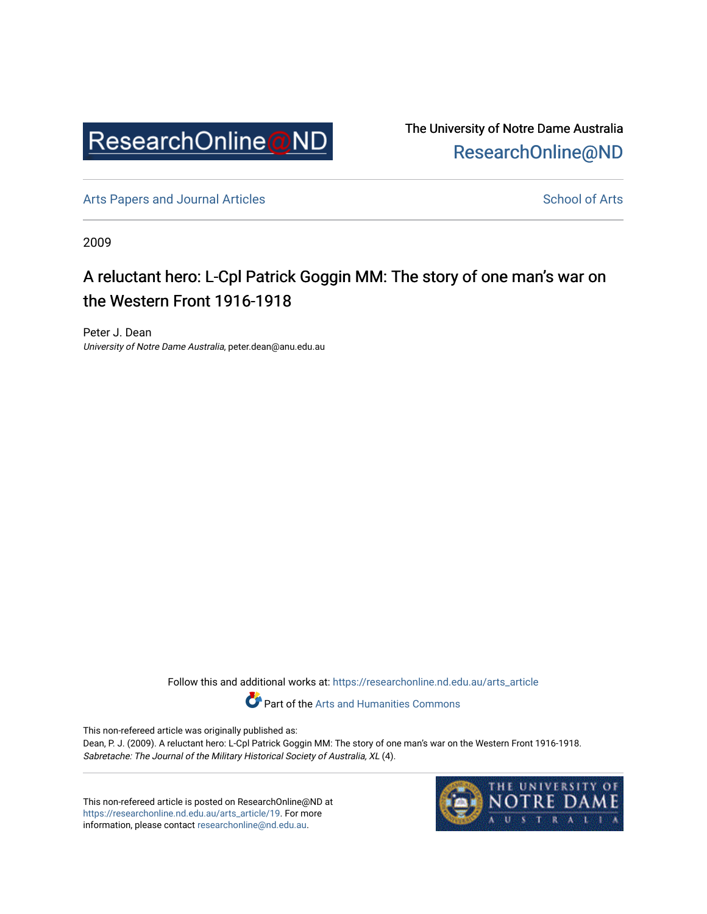

The University of Notre Dame Australia [ResearchOnline@ND](https://researchonline.nd.edu.au/) 

[Arts Papers and Journal Articles](https://researchonline.nd.edu.au/arts_article) and [School of Arts](https://researchonline.nd.edu.au/arts) School of Arts

2009

## A reluctant hero: L-Cpl Patrick Goggin MM: The story of one man's war on the Western Front 1916-1918

Peter J. Dean University of Notre Dame Australia, peter.dean@anu.edu.au

Follow this and additional works at: [https://researchonline.nd.edu.au/arts\\_article](https://researchonline.nd.edu.au/arts_article?utm_source=researchonline.nd.edu.au%2Farts_article%2F19&utm_medium=PDF&utm_campaign=PDFCoverPages) 

Part of the [Arts and Humanities Commons](http://network.bepress.com/hgg/discipline/438?utm_source=researchonline.nd.edu.au%2Farts_article%2F19&utm_medium=PDF&utm_campaign=PDFCoverPages) 

This non-refereed article was originally published as:

Dean, P. J. (2009). A reluctant hero: L-Cpl Patrick Goggin MM: The story of one man's war on the Western Front 1916-1918. Sabretache: The Journal of the Military Historical Society of Australia, XL (4).

This non-refereed article is posted on ResearchOnline@ND at [https://researchonline.nd.edu.au/arts\\_article/19.](https://researchonline.nd.edu.au/arts_article/19) For more information, please contact [researchonline@nd.edu.au.](mailto:researchonline@nd.edu.au)

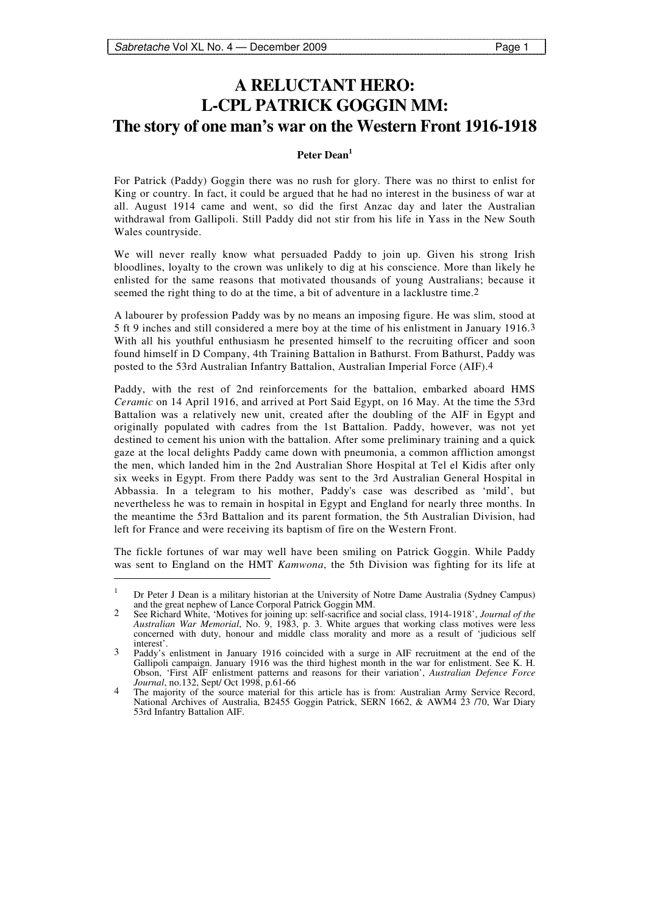-

## **A RELUCTANT HERO: L-CPL PATRICK GOGGIN MM: The story of one man's war on the Western Front 1916-1918**

## **Peter Dean<sup>1</sup>**

For Patrick (Paddy) Goggin there was no rush for glory. There was no thirst to enlist for King or country. In fact, it could be argued that he had no interest in the business of war at all. August 1914 came and went, so did the first Anzac day and later the Australian withdrawal from Gallipoli. Still Paddy did not stir from his life in Yass in the New South Wales countryside.

We will never really know what persuaded Paddy to join up. Given his strong Irish bloodlines, loyalty to the crown was unlikely to dig at his conscience. More than likely he enlisted for the same reasons that motivated thousands of young Australians; because it seemed the right thing to do at the time, a bit of adventure in a lacklustre time.2

A labourer by profession Paddy was by no means an imposing figure. He was slim, stood at 5 ft 9 inches and still considered a mere boy at the time of his enlistment in January 1916.3 With all his youthful enthusiasm he presented himself to the recruiting officer and soon found himself in D Company, 4th Training Battalion in Bathurst. From Bathurst, Paddy was posted to the 53rd Australian Infantry Battalion, Australian Imperial Force (AIF).4

Paddy, with the rest of 2nd reinforcements for the battalion, embarked aboard HMS *Ceramic* on 14 April 1916, and arrived at Port Said Egypt, on 16 May. At the time the 53rd Battalion was a relatively new unit, created after the doubling of the AIF in Egypt and originally populated with cadres from the 1st Battalion. Paddy, however, was not yet destined to cement his union with the battalion. After some preliminary training and a quick gaze at the local delights Paddy came down with pneumonia, a common affliction amongst the men, which landed him in the 2nd Australian Shore Hospital at Tel el Kidis after only six weeks in Egypt. From there Paddy was sent to the 3rd Australian General Hospital in Abbassia. In a telegram to his mother, Paddy's case was described as 'mild', but nevertheless he was to remain in hospital in Egypt and England for nearly three months. In the meantime the 53rd Battalion and its parent formation, the 5th Australian Division, had left for France and were receiving its baptism of fire on the Western Front.

The fickle fortunes of war may well have been smiling on Patrick Goggin. While Paddy was sent to England on the HMT *Kamwona*, the 5th Division was fighting for its life at

<sup>1</sup> Dr Peter J Dean is a military historian at the University of Notre Dame Australia (Sydney Campus) and the great nephew of Lance Corporal Patrick Goggin MM.

<sup>2</sup> See Richard White, 'Motives for joining up: self-sacrifice and social class, 1914-1918', *Journal of the Australian War Memorial*, No. 9, 1983, p. 3. White argues that working class motives were less concerned with duty, honour and middle class morality and more as a result of 'judicious self interest'.

<sup>3</sup> Paddy's enlistment in January 1916 coincided with a surge in AIF recruitment at the end of the Gallipoli campaign. January 1916 was the third highest month in the war for enlistment. See K. H. Obson, 'First AIF enlistment patterns and reasons for their variation', *Australian Defence Force Journal*, no.132, Sept/ Oct 1998, p.61-66

<sup>4</sup> The majority of the source material for this article has is from: Australian Army Service Record, National Archives of Australia, B2455 Goggin Patrick, SERN 1662, & AWM4 23 /70, War Diary 53rd Infantry Battalion AIF.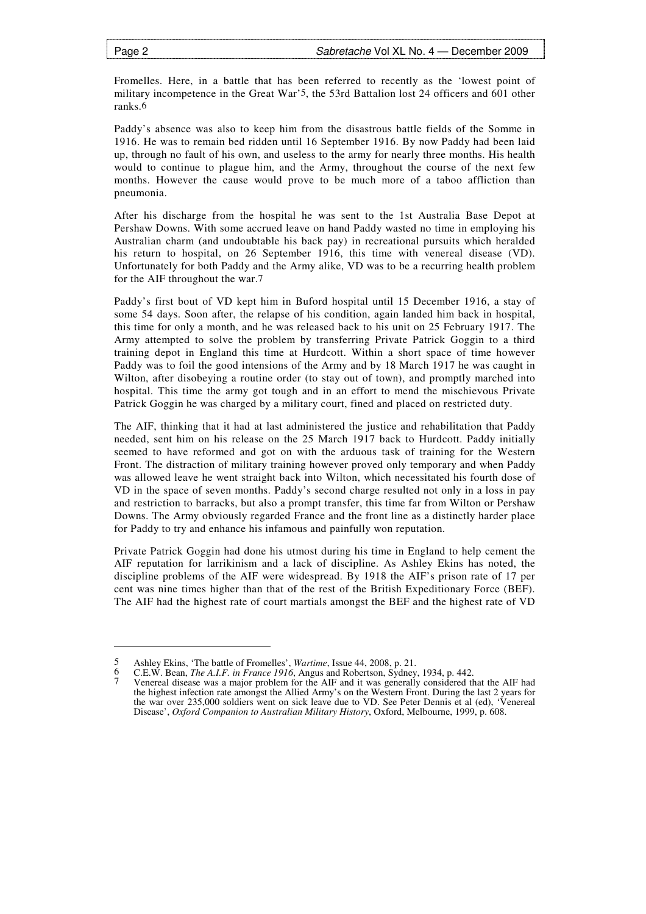-

Fromelles. Here, in a battle that has been referred to recently as the 'lowest point of military incompetence in the Great War'5, the 53rd Battalion lost 24 officers and 601 other ranks.6

Paddy's absence was also to keep him from the disastrous battle fields of the Somme in 1916. He was to remain bed ridden until 16 September 1916. By now Paddy had been laid up, through no fault of his own, and useless to the army for nearly three months. His health would to continue to plague him, and the Army, throughout the course of the next few months. However the cause would prove to be much more of a taboo affliction than pneumonia.

After his discharge from the hospital he was sent to the 1st Australia Base Depot at Pershaw Downs. With some accrued leave on hand Paddy wasted no time in employing his Australian charm (and undoubtable his back pay) in recreational pursuits which heralded his return to hospital, on 26 September 1916, this time with venereal disease (VD). Unfortunately for both Paddy and the Army alike, VD was to be a recurring health problem for the AIF throughout the war.7

Paddy's first bout of VD kept him in Buford hospital until 15 December 1916, a stay of some 54 days. Soon after, the relapse of his condition, again landed him back in hospital, this time for only a month, and he was released back to his unit on 25 February 1917. The Army attempted to solve the problem by transferring Private Patrick Goggin to a third training depot in England this time at Hurdcott. Within a short space of time however Paddy was to foil the good intensions of the Army and by 18 March 1917 he was caught in Wilton, after disobeying a routine order (to stay out of town), and promptly marched into hospital. This time the army got tough and in an effort to mend the mischievous Private Patrick Goggin he was charged by a military court, fined and placed on restricted duty.

The AIF, thinking that it had at last administered the justice and rehabilitation that Paddy needed, sent him on his release on the 25 March 1917 back to Hurdcott. Paddy initially seemed to have reformed and got on with the arduous task of training for the Western Front. The distraction of military training however proved only temporary and when Paddy was allowed leave he went straight back into Wilton, which necessitated his fourth dose of VD in the space of seven months. Paddy's second charge resulted not only in a loss in pay and restriction to barracks, but also a prompt transfer, this time far from Wilton or Pershaw Downs. The Army obviously regarded France and the front line as a distinctly harder place for Paddy to try and enhance his infamous and painfully won reputation.

Private Patrick Goggin had done his utmost during his time in England to help cement the AIF reputation for larrikinism and a lack of discipline. As Ashley Ekins has noted, the discipline problems of the AIF were widespread. By 1918 the AIF's prison rate of 17 per cent was nine times higher than that of the rest of the British Expeditionary Force (BEF). The AIF had the highest rate of court martials amongst the BEF and the highest rate of VD

<sup>5</sup> Ashley Ekins, 'The battle of Fromelles', *Wartime*, Issue 44, 2008, p. 21.<br>6 C E W, Bean *The A I E in France 1916* Angus and Robertson Sydney

<sup>6</sup> C.E.W. Bean, *The A.I.F. in France 1916*, Angus and Robertson, Sydney, 1934, p. 442.

<sup>7</sup> Venereal disease was a major problem for the AIF and it was generally considered that the AIF had the highest infection rate amongst the Allied Army's on the Western Front. During the last 2 years for the war over 235,000 soldiers went on sick leave due to VD. See Peter Dennis et al (ed), 'Venereal Disease', *Oxford Companion to Australian Military History*, Oxford, Melbourne, 1999, p. 608.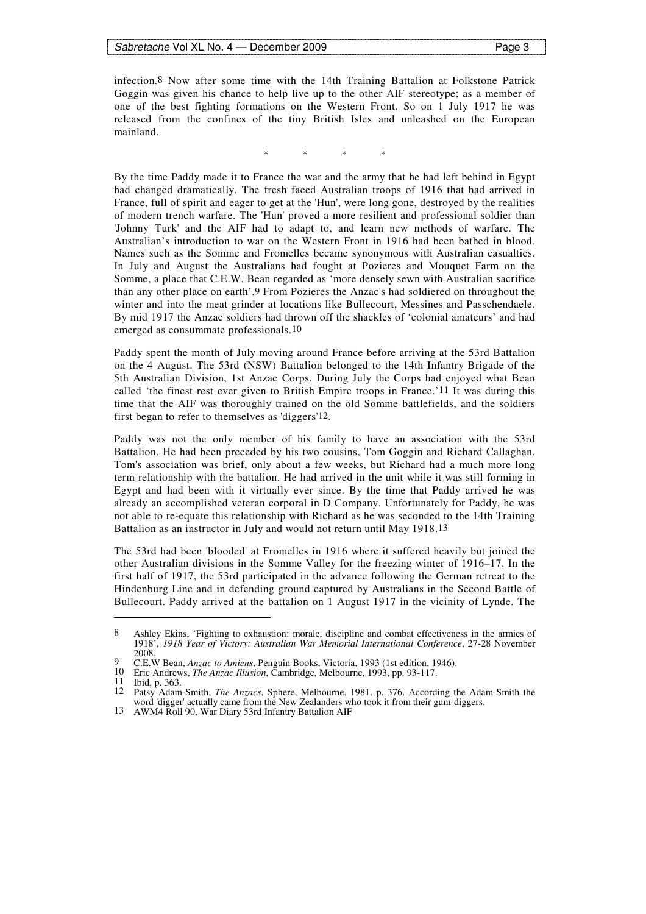infection.8 Now after some time with the 14th Training Battalion at Folkstone Patrick Goggin was given his chance to help live up to the other AIF stereotype; as a member of one of the best fighting formations on the Western Front. So on 1 July 1917 he was released from the confines of the tiny British Isles and unleashed on the European mainland.

\* \* \* \*

By the time Paddy made it to France the war and the army that he had left behind in Egypt had changed dramatically. The fresh faced Australian troops of 1916 that had arrived in France, full of spirit and eager to get at the 'Hun', were long gone, destroyed by the realities of modern trench warfare. The 'Hun' proved a more resilient and professional soldier than 'Johnny Turk' and the AIF had to adapt to, and learn new methods of warfare. The Australian's introduction to war on the Western Front in 1916 had been bathed in blood. Names such as the Somme and Fromelles became synonymous with Australian casualties. In July and August the Australians had fought at Pozieres and Mouquet Farm on the Somme, a place that C.E.W. Bean regarded as 'more densely sewn with Australian sacrifice than any other place on earth'.9 From Pozieres the Anzac's had soldiered on throughout the winter and into the meat grinder at locations like Bullecourt, Messines and Passchendaele. By mid 1917 the Anzac soldiers had thrown off the shackles of 'colonial amateurs' and had emerged as consummate professionals.10

Paddy spent the month of July moving around France before arriving at the 53rd Battalion on the 4 August. The 53rd (NSW) Battalion belonged to the 14th Infantry Brigade of the 5th Australian Division, 1st Anzac Corps. During July the Corps had enjoyed what Bean called 'the finest rest ever given to British Empire troops in France.'11 It was during this time that the AIF was thoroughly trained on the old Somme battlefields, and the soldiers first began to refer to themselves as 'diggers'12.

Paddy was not the only member of his family to have an association with the 53rd Battalion. He had been preceded by his two cousins, Tom Goggin and Richard Callaghan. Tom's association was brief, only about a few weeks, but Richard had a much more long term relationship with the battalion. He had arrived in the unit while it was still forming in Egypt and had been with it virtually ever since. By the time that Paddy arrived he was already an accomplished veteran corporal in D Company. Unfortunately for Paddy, he was not able to re-equate this relationship with Richard as he was seconded to the 14th Training Battalion as an instructor in July and would not return until May 1918.13

The 53rd had been 'blooded' at Fromelles in 1916 where it suffered heavily but joined the other Australian divisions in the Somme Valley for the freezing winter of 1916–17. In the first half of 1917, the 53rd participated in the advance following the German retreat to the Hindenburg Line and in defending ground captured by Australians in the Second Battle of Bullecourt. Paddy arrived at the battalion on 1 August 1917 in the vicinity of Lynde. The

<sup>8</sup> Ashley Ekins, 'Fighting to exhaustion: morale, discipline and combat effectiveness in the armies of 1918', *1918 Year of Victory: Australian War Memorial International Conference*, 27-28 November 2008.

<sup>9</sup> C.E.W Bean, *Anzac to Amiens*, Penguin Books, Victoria, 1993 (1st edition, 1946).

<sup>10</sup> Eric Andrews, *The Anzac Illusion*, Cambridge, Melbourne, 1993, pp. 93-117.

Ibid, p. 363.

<sup>12</sup> Patsy Adam-Smith, *The Anzacs*, Sphere, Melbourne, 1981, p. 376. According the Adam-Smith the word 'digger' actually came from the New Zealanders who took it from their gum-diggers.

<sup>13</sup> AWM4 Roll 90, War Diary 53rd Infantry Battalion AIF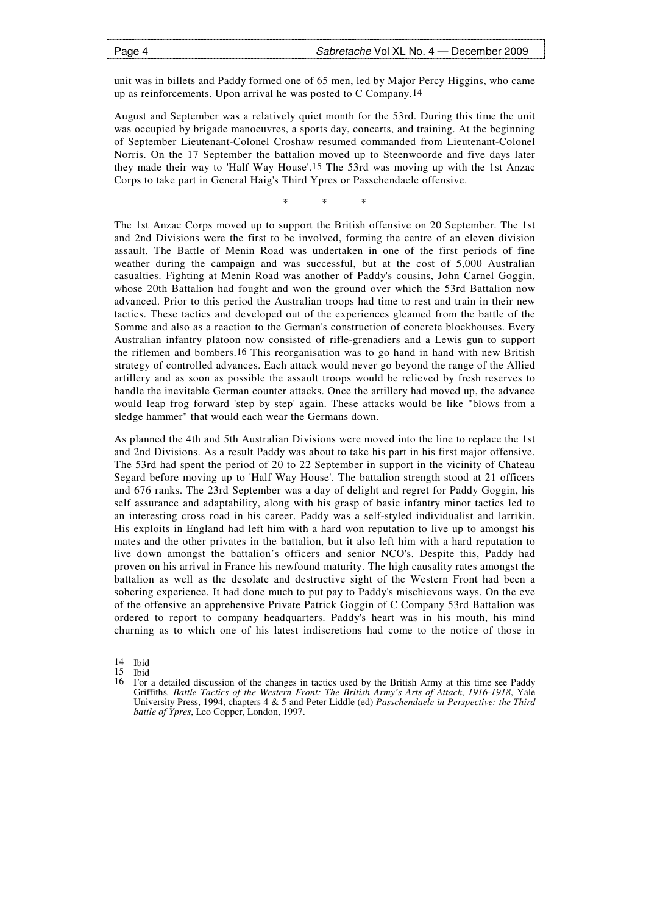unit was in billets and Paddy formed one of 65 men, led by Major Percy Higgins, who came up as reinforcements. Upon arrival he was posted to C Company.14

August and September was a relatively quiet month for the 53rd. During this time the unit was occupied by brigade manoeuvres, a sports day, concerts, and training. At the beginning of September Lieutenant-Colonel Croshaw resumed commanded from Lieutenant-Colonel Norris. On the 17 September the battalion moved up to Steenwoorde and five days later they made their way to 'Half Way House'.15 The 53rd was moving up with the 1st Anzac Corps to take part in General Haig's Third Ypres or Passchendaele offensive.

\* \* \*

The 1st Anzac Corps moved up to support the British offensive on 20 September. The 1st and 2nd Divisions were the first to be involved, forming the centre of an eleven division assault. The Battle of Menin Road was undertaken in one of the first periods of fine weather during the campaign and was successful, but at the cost of 5,000 Australian casualties. Fighting at Menin Road was another of Paddy's cousins, John Carnel Goggin, whose 20th Battalion had fought and won the ground over which the 53rd Battalion now advanced. Prior to this period the Australian troops had time to rest and train in their new tactics. These tactics and developed out of the experiences gleamed from the battle of the Somme and also as a reaction to the German's construction of concrete blockhouses. Every Australian infantry platoon now consisted of rifle-grenadiers and a Lewis gun to support the riflemen and bombers.16 This reorganisation was to go hand in hand with new British strategy of controlled advances. Each attack would never go beyond the range of the Allied artillery and as soon as possible the assault troops would be relieved by fresh reserves to handle the inevitable German counter attacks. Once the artillery had moved up, the advance would leap frog forward 'step by step' again. These attacks would be like "blows from a sledge hammer" that would each wear the Germans down.

As planned the 4th and 5th Australian Divisions were moved into the line to replace the 1st and 2nd Divisions. As a result Paddy was about to take his part in his first major offensive. The 53rd had spent the period of 20 to 22 September in support in the vicinity of Chateau Segard before moving up to 'Half Way House'. The battalion strength stood at 21 officers and 676 ranks. The 23rd September was a day of delight and regret for Paddy Goggin, his self assurance and adaptability, along with his grasp of basic infantry minor tactics led to an interesting cross road in his career. Paddy was a self-styled individualist and larrikin. His exploits in England had left him with a hard won reputation to live up to amongst his mates and the other privates in the battalion, but it also left him with a hard reputation to live down amongst the battalion's officers and senior NCO's. Despite this, Paddy had proven on his arrival in France his newfound maturity. The high causality rates amongst the battalion as well as the desolate and destructive sight of the Western Front had been a sobering experience. It had done much to put pay to Paddy's mischievous ways. On the eve of the offensive an apprehensive Private Patrick Goggin of C Company 53rd Battalion was ordered to report to company headquarters. Paddy's heart was in his mouth, his mind churning as to which one of his latest indiscretions had come to the notice of those in

 $\begin{bmatrix} 14 & \text{Ibid} \\ 15 & \text{Ibid} \end{bmatrix}$ 

 $\frac{15}{16}$  Ibid

<sup>16</sup> For a detailed discussion of the changes in tactics used by the British Army at this time see Paddy Griffiths*, Battle Tactics of the Western Front: The British Army's Arts of Attack*, *1916-1918*, Yale University Press, 1994, chapters 4 & 5 and Peter Liddle (ed) *Passchendaele in Perspective: the Third battle of Ypres*, Leo Copper, London, 1997.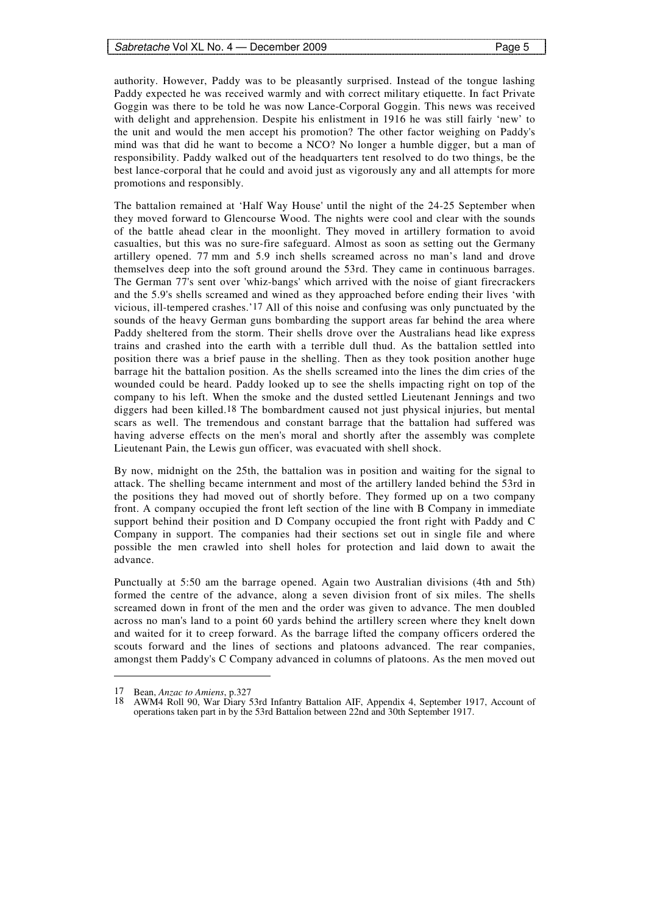authority. However, Paddy was to be pleasantly surprised. Instead of the tongue lashing Paddy expected he was received warmly and with correct military etiquette. In fact Private Goggin was there to be told he was now Lance-Corporal Goggin. This news was received with delight and apprehension. Despite his enlistment in 1916 he was still fairly 'new' to the unit and would the men accept his promotion? The other factor weighing on Paddy's mind was that did he want to become a NCO? No longer a humble digger, but a man of responsibility. Paddy walked out of the headquarters tent resolved to do two things, be the best lance-corporal that he could and avoid just as vigorously any and all attempts for more promotions and responsibly.

The battalion remained at 'Half Way House' until the night of the 24-25 September when they moved forward to Glencourse Wood. The nights were cool and clear with the sounds of the battle ahead clear in the moonlight. They moved in artillery formation to avoid casualties, but this was no sure-fire safeguard. Almost as soon as setting out the Germany artillery opened. 77 mm and 5.9 inch shells screamed across no man's land and drove themselves deep into the soft ground around the 53rd. They came in continuous barrages. The German 77's sent over 'whiz-bangs' which arrived with the noise of giant firecrackers and the 5.9's shells screamed and wined as they approached before ending their lives 'with vicious, ill-tempered crashes.'17 All of this noise and confusing was only punctuated by the sounds of the heavy German guns bombarding the support areas far behind the area where Paddy sheltered from the storm. Their shells drove over the Australians head like express trains and crashed into the earth with a terrible dull thud. As the battalion settled into position there was a brief pause in the shelling. Then as they took position another huge barrage hit the battalion position. As the shells screamed into the lines the dim cries of the wounded could be heard. Paddy looked up to see the shells impacting right on top of the company to his left. When the smoke and the dusted settled Lieutenant Jennings and two diggers had been killed.18 The bombardment caused not just physical injuries, but mental scars as well. The tremendous and constant barrage that the battalion had suffered was having adverse effects on the men's moral and shortly after the assembly was complete Lieutenant Pain, the Lewis gun officer, was evacuated with shell shock.

By now, midnight on the 25th, the battalion was in position and waiting for the signal to attack. The shelling became internment and most of the artillery landed behind the 53rd in the positions they had moved out of shortly before. They formed up on a two company front. A company occupied the front left section of the line with B Company in immediate support behind their position and D Company occupied the front right with Paddy and C Company in support. The companies had their sections set out in single file and where possible the men crawled into shell holes for protection and laid down to await the advance.

Punctually at 5:50 am the barrage opened. Again two Australian divisions (4th and 5th) formed the centre of the advance, along a seven division front of six miles. The shells screamed down in front of the men and the order was given to advance. The men doubled across no man's land to a point 60 yards behind the artillery screen where they knelt down and waited for it to creep forward. As the barrage lifted the company officers ordered the scouts forward and the lines of sections and platoons advanced. The rear companies, amongst them Paddy's C Company advanced in columns of platoons. As the men moved out

<sup>17</sup> Bean, *Anzac to Amiens*, p.327

<sup>18</sup> AWM4 Roll 90, War Diary 53rd Infantry Battalion AIF, Appendix 4, September 1917, Account of operations taken part in by the 53rd Battalion between 22nd and 30th September 1917.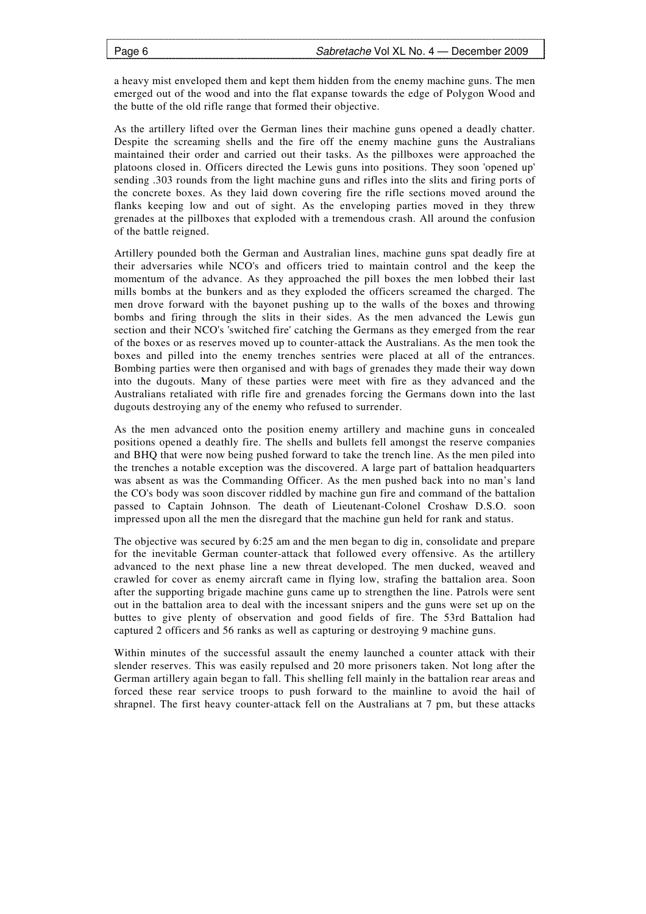a heavy mist enveloped them and kept them hidden from the enemy machine guns. The men emerged out of the wood and into the flat expanse towards the edge of Polygon Wood and the butte of the old rifle range that formed their objective.

As the artillery lifted over the German lines their machine guns opened a deadly chatter. Despite the screaming shells and the fire off the enemy machine guns the Australians maintained their order and carried out their tasks. As the pillboxes were approached the platoons closed in. Officers directed the Lewis guns into positions. They soon 'opened up' sending .303 rounds from the light machine guns and rifles into the slits and firing ports of the concrete boxes. As they laid down covering fire the rifle sections moved around the flanks keeping low and out of sight. As the enveloping parties moved in they threw grenades at the pillboxes that exploded with a tremendous crash. All around the confusion of the battle reigned.

Artillery pounded both the German and Australian lines, machine guns spat deadly fire at their adversaries while NCO's and officers tried to maintain control and the keep the momentum of the advance. As they approached the pill boxes the men lobbed their last mills bombs at the bunkers and as they exploded the officers screamed the charged. The men drove forward with the bayonet pushing up to the walls of the boxes and throwing bombs and firing through the slits in their sides. As the men advanced the Lewis gun section and their NCO's 'switched fire' catching the Germans as they emerged from the rear of the boxes or as reserves moved up to counter-attack the Australians. As the men took the boxes and pilled into the enemy trenches sentries were placed at all of the entrances. Bombing parties were then organised and with bags of grenades they made their way down into the dugouts. Many of these parties were meet with fire as they advanced and the Australians retaliated with rifle fire and grenades forcing the Germans down into the last dugouts destroying any of the enemy who refused to surrender.

As the men advanced onto the position enemy artillery and machine guns in concealed positions opened a deathly fire. The shells and bullets fell amongst the reserve companies and BHQ that were now being pushed forward to take the trench line. As the men piled into the trenches a notable exception was the discovered. A large part of battalion headquarters was absent as was the Commanding Officer. As the men pushed back into no man's land the CO's body was soon discover riddled by machine gun fire and command of the battalion passed to Captain Johnson. The death of Lieutenant-Colonel Croshaw D.S.O. soon impressed upon all the men the disregard that the machine gun held for rank and status.

The objective was secured by 6:25 am and the men began to dig in, consolidate and prepare for the inevitable German counter-attack that followed every offensive. As the artillery advanced to the next phase line a new threat developed. The men ducked, weaved and crawled for cover as enemy aircraft came in flying low, strafing the battalion area. Soon after the supporting brigade machine guns came up to strengthen the line. Patrols were sent out in the battalion area to deal with the incessant snipers and the guns were set up on the buttes to give plenty of observation and good fields of fire. The 53rd Battalion had captured 2 officers and 56 ranks as well as capturing or destroying 9 machine guns.

Within minutes of the successful assault the enemy launched a counter attack with their slender reserves. This was easily repulsed and 20 more prisoners taken. Not long after the German artillery again began to fall. This shelling fell mainly in the battalion rear areas and forced these rear service troops to push forward to the mainline to avoid the hail of shrapnel. The first heavy counter-attack fell on the Australians at 7 pm, but these attacks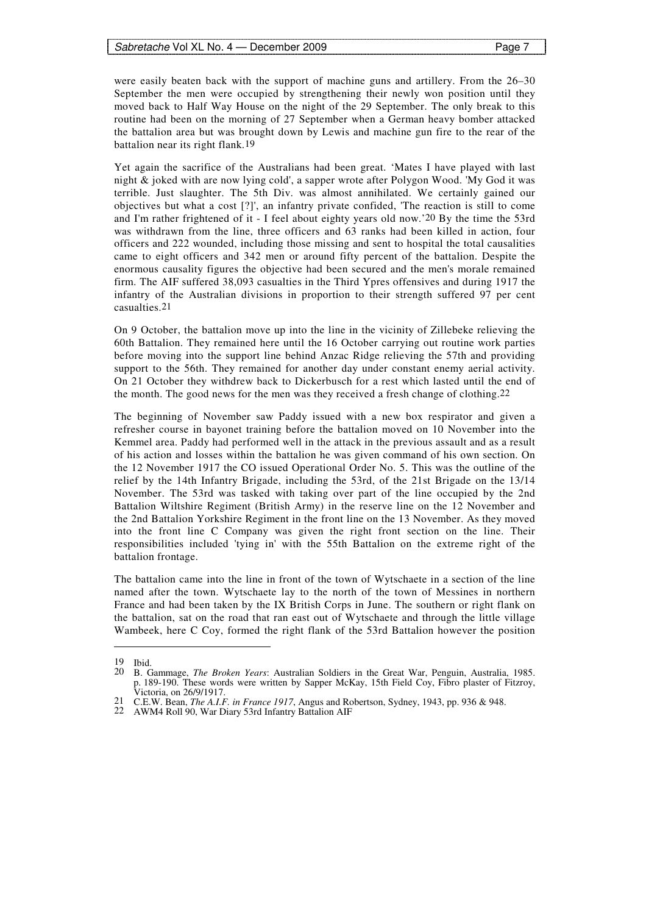were easily beaten back with the support of machine guns and artillery. From the 26–30 September the men were occupied by strengthening their newly won position until they moved back to Half Way House on the night of the 29 September. The only break to this routine had been on the morning of 27 September when a German heavy bomber attacked the battalion area but was brought down by Lewis and machine gun fire to the rear of the battalion near its right flank.19

Yet again the sacrifice of the Australians had been great. 'Mates I have played with last night & joked with are now lying cold', a sapper wrote after Polygon Wood. 'My God it was terrible. Just slaughter. The 5th Div. was almost annihilated. We certainly gained our objectives but what a cost [?]', an infantry private confided, 'The reaction is still to come and I'm rather frightened of it - I feel about eighty years old now.'20 By the time the 53rd was withdrawn from the line, three officers and 63 ranks had been killed in action, four officers and 222 wounded, including those missing and sent to hospital the total causalities came to eight officers and 342 men or around fifty percent of the battalion. Despite the enormous causality figures the objective had been secured and the men's morale remained firm. The AIF suffered 38,093 casualties in the Third Ypres offensives and during 1917 the infantry of the Australian divisions in proportion to their strength suffered 97 per cent casualties.21

On 9 October, the battalion move up into the line in the vicinity of Zillebeke relieving the 60th Battalion. They remained here until the 16 October carrying out routine work parties before moving into the support line behind Anzac Ridge relieving the 57th and providing support to the 56th. They remained for another day under constant enemy aerial activity. On 21 October they withdrew back to Dickerbusch for a rest which lasted until the end of the month. The good news for the men was they received a fresh change of clothing.22

The beginning of November saw Paddy issued with a new box respirator and given a refresher course in bayonet training before the battalion moved on 10 November into the Kemmel area. Paddy had performed well in the attack in the previous assault and as a result of his action and losses within the battalion he was given command of his own section. On the 12 November 1917 the CO issued Operational Order No. 5. This was the outline of the relief by the 14th Infantry Brigade, including the 53rd, of the 21st Brigade on the 13/14 November. The 53rd was tasked with taking over part of the line occupied by the 2nd Battalion Wiltshire Regiment (British Army) in the reserve line on the 12 November and the 2nd Battalion Yorkshire Regiment in the front line on the 13 November. As they moved into the front line C Company was given the right front section on the line. Their responsibilities included 'tying in' with the 55th Battalion on the extreme right of the battalion frontage.

The battalion came into the line in front of the town of Wytschaete in a section of the line named after the town. Wytschaete lay to the north of the town of Messines in northern France and had been taken by the IX British Corps in June. The southern or right flank on the battalion, sat on the road that ran east out of Wytschaete and through the little village Wambeek, here C Coy, formed the right flank of the 53rd Battalion however the position

<sup>19</sup> Ibid.

<sup>20</sup> B. Gammage, *The Broken Years*: Australian Soldiers in the Great War, Penguin, Australia, 1985. p. 189-190. These words were written by Sapper McKay, 15th Field Coy, Fibro plaster of Fitzroy, Victoria, on 26/9/1917.

<sup>21</sup> C.E.W. Bean, *The A.I.F. in France 1917*, Angus and Robertson, Sydney, 1943, pp. 936 & 948.

<sup>22</sup> AWM4 Roll 90, War Diary 53rd Infantry Battalion AIF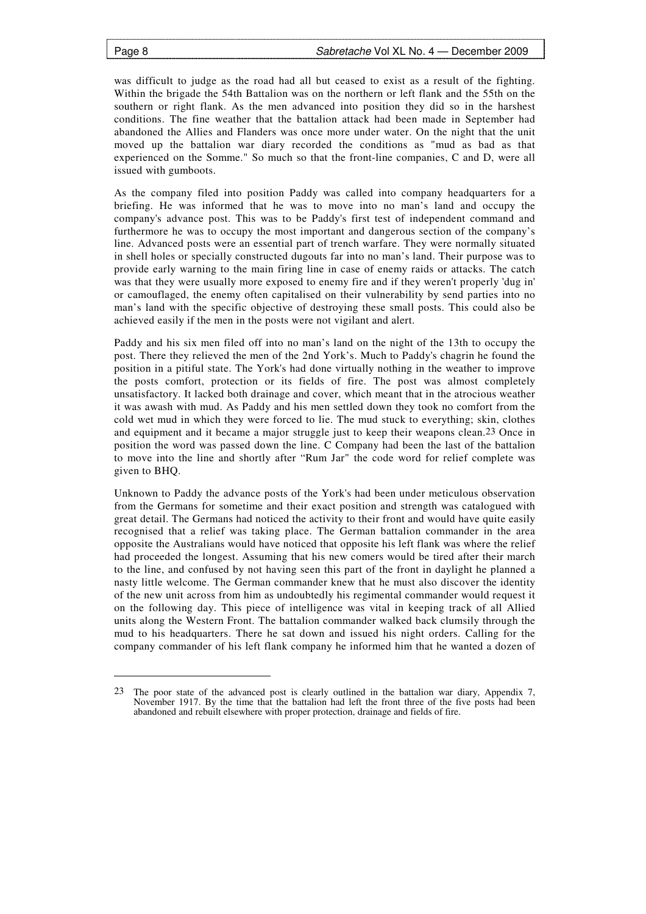-

was difficult to judge as the road had all but ceased to exist as a result of the fighting. Within the brigade the 54th Battalion was on the northern or left flank and the 55th on the southern or right flank. As the men advanced into position they did so in the harshest conditions. The fine weather that the battalion attack had been made in September had abandoned the Allies and Flanders was once more under water. On the night that the unit moved up the battalion war diary recorded the conditions as "mud as bad as that experienced on the Somme." So much so that the front-line companies, C and D, were all issued with gumboots.

As the company filed into position Paddy was called into company headquarters for a briefing. He was informed that he was to move into no man's land and occupy the company's advance post. This was to be Paddy's first test of independent command and furthermore he was to occupy the most important and dangerous section of the company's line. Advanced posts were an essential part of trench warfare. They were normally situated in shell holes or specially constructed dugouts far into no man's land. Their purpose was to provide early warning to the main firing line in case of enemy raids or attacks. The catch was that they were usually more exposed to enemy fire and if they weren't properly 'dug in' or camouflaged, the enemy often capitalised on their vulnerability by send parties into no man's land with the specific objective of destroying these small posts. This could also be achieved easily if the men in the posts were not vigilant and alert.

Paddy and his six men filed off into no man's land on the night of the 13th to occupy the post. There they relieved the men of the 2nd York's. Much to Paddy's chagrin he found the position in a pitiful state. The York's had done virtually nothing in the weather to improve the posts comfort, protection or its fields of fire. The post was almost completely unsatisfactory. It lacked both drainage and cover, which meant that in the atrocious weather it was awash with mud. As Paddy and his men settled down they took no comfort from the cold wet mud in which they were forced to lie. The mud stuck to everything; skin, clothes and equipment and it became a major struggle just to keep their weapons clean.23 Once in position the word was passed down the line. C Company had been the last of the battalion to move into the line and shortly after "Rum Jar" the code word for relief complete was given to BHQ.

Unknown to Paddy the advance posts of the York's had been under meticulous observation from the Germans for sometime and their exact position and strength was catalogued with great detail. The Germans had noticed the activity to their front and would have quite easily recognised that a relief was taking place. The German battalion commander in the area opposite the Australians would have noticed that opposite his left flank was where the relief had proceeded the longest. Assuming that his new comers would be tired after their march to the line, and confused by not having seen this part of the front in daylight he planned a nasty little welcome. The German commander knew that he must also discover the identity of the new unit across from him as undoubtedly his regimental commander would request it on the following day. This piece of intelligence was vital in keeping track of all Allied units along the Western Front. The battalion commander walked back clumsily through the mud to his headquarters. There he sat down and issued his night orders. Calling for the company commander of his left flank company he informed him that he wanted a dozen of

<sup>23</sup> The poor state of the advanced post is clearly outlined in the battalion war diary, Appendix 7, November 1917. By the time that the battalion had left the front three of the five posts had been abandoned and rebuilt elsewhere with proper protection, drainage and fields of fire.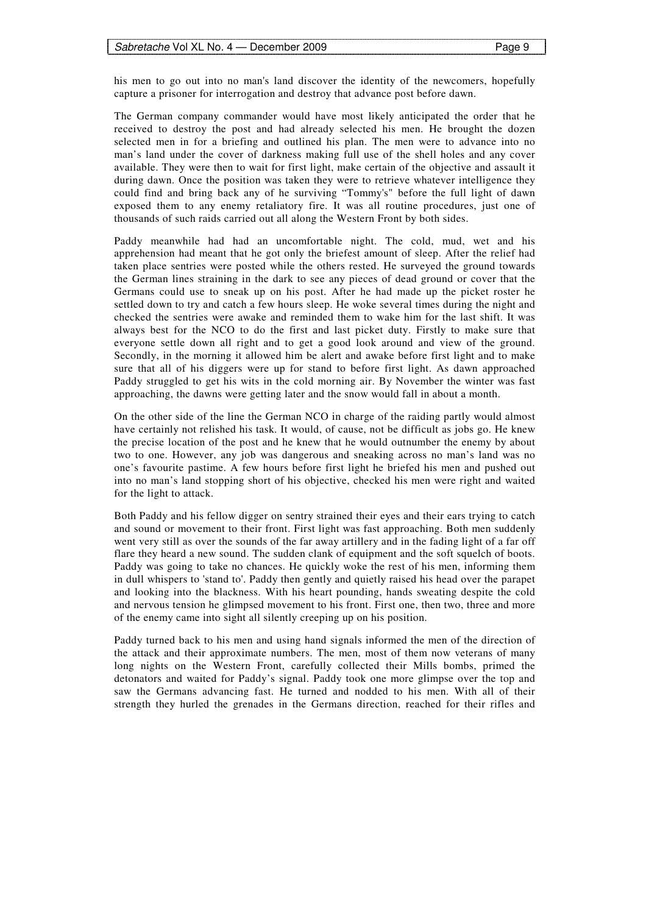his men to go out into no man's land discover the identity of the newcomers, hopefully capture a prisoner for interrogation and destroy that advance post before dawn.

The German company commander would have most likely anticipated the order that he received to destroy the post and had already selected his men. He brought the dozen selected men in for a briefing and outlined his plan. The men were to advance into no man's land under the cover of darkness making full use of the shell holes and any cover available. They were then to wait for first light, make certain of the objective and assault it during dawn. Once the position was taken they were to retrieve whatever intelligence they could find and bring back any of he surviving "Tommy's" before the full light of dawn exposed them to any enemy retaliatory fire. It was all routine procedures, just one of thousands of such raids carried out all along the Western Front by both sides.

Paddy meanwhile had had an uncomfortable night. The cold, mud, wet and his apprehension had meant that he got only the briefest amount of sleep. After the relief had taken place sentries were posted while the others rested. He surveyed the ground towards the German lines straining in the dark to see any pieces of dead ground or cover that the Germans could use to sneak up on his post. After he had made up the picket roster he settled down to try and catch a few hours sleep. He woke several times during the night and checked the sentries were awake and reminded them to wake him for the last shift. It was always best for the NCO to do the first and last picket duty. Firstly to make sure that everyone settle down all right and to get a good look around and view of the ground. Secondly, in the morning it allowed him be alert and awake before first light and to make sure that all of his diggers were up for stand to before first light. As dawn approached Paddy struggled to get his wits in the cold morning air. By November the winter was fast approaching, the dawns were getting later and the snow would fall in about a month.

On the other side of the line the German NCO in charge of the raiding partly would almost have certainly not relished his task. It would, of cause, not be difficult as jobs go. He knew the precise location of the post and he knew that he would outnumber the enemy by about two to one. However, any job was dangerous and sneaking across no man's land was no one's favourite pastime. A few hours before first light he briefed his men and pushed out into no man's land stopping short of his objective, checked his men were right and waited for the light to attack.

Both Paddy and his fellow digger on sentry strained their eyes and their ears trying to catch and sound or movement to their front. First light was fast approaching. Both men suddenly went very still as over the sounds of the far away artillery and in the fading light of a far off flare they heard a new sound. The sudden clank of equipment and the soft squelch of boots. Paddy was going to take no chances. He quickly woke the rest of his men, informing them in dull whispers to 'stand to'. Paddy then gently and quietly raised his head over the parapet and looking into the blackness. With his heart pounding, hands sweating despite the cold and nervous tension he glimpsed movement to his front. First one, then two, three and more of the enemy came into sight all silently creeping up on his position.

Paddy turned back to his men and using hand signals informed the men of the direction of the attack and their approximate numbers. The men, most of them now veterans of many long nights on the Western Front, carefully collected their Mills bombs, primed the detonators and waited for Paddy's signal. Paddy took one more glimpse over the top and saw the Germans advancing fast. He turned and nodded to his men. With all of their strength they hurled the grenades in the Germans direction, reached for their rifles and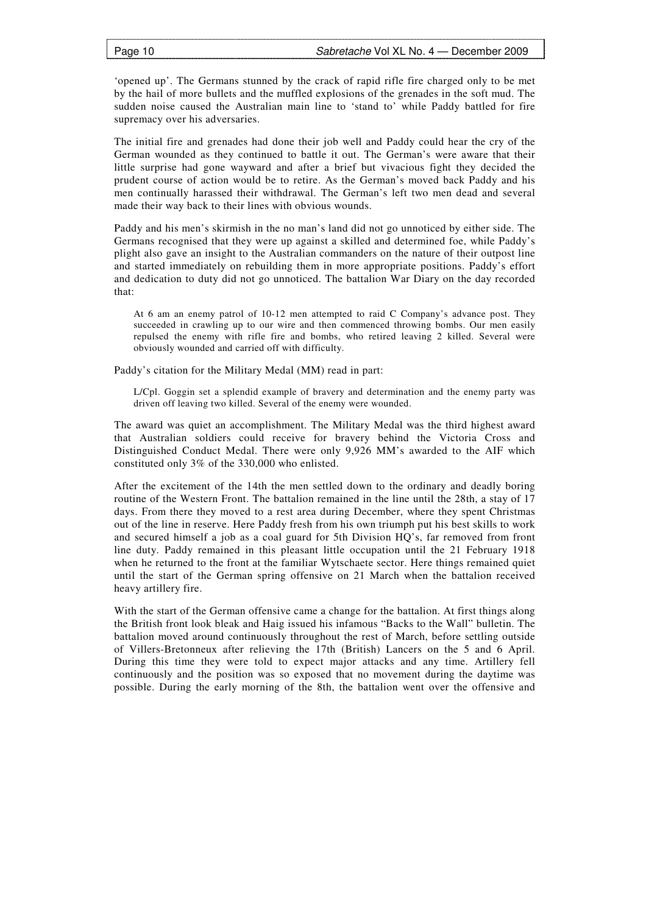'opened up'. The Germans stunned by the crack of rapid rifle fire charged only to be met by the hail of more bullets and the muffled explosions of the grenades in the soft mud. The sudden noise caused the Australian main line to 'stand to' while Paddy battled for fire supremacy over his adversaries.

The initial fire and grenades had done their job well and Paddy could hear the cry of the German wounded as they continued to battle it out. The German's were aware that their little surprise had gone wayward and after a brief but vivacious fight they decided the prudent course of action would be to retire. As the German's moved back Paddy and his men continually harassed their withdrawal. The German's left two men dead and several made their way back to their lines with obvious wounds.

Paddy and his men's skirmish in the no man's land did not go unnoticed by either side. The Germans recognised that they were up against a skilled and determined foe, while Paddy's plight also gave an insight to the Australian commanders on the nature of their outpost line and started immediately on rebuilding them in more appropriate positions. Paddy's effort and dedication to duty did not go unnoticed. The battalion War Diary on the day recorded that:

At 6 am an enemy patrol of 10-12 men attempted to raid C Company's advance post. They succeeded in crawling up to our wire and then commenced throwing bombs. Our men easily repulsed the enemy with rifle fire and bombs, who retired leaving 2 killed. Several were obviously wounded and carried off with difficulty.

Paddy's citation for the Military Medal (MM) read in part:

L/Cpl. Goggin set a splendid example of bravery and determination and the enemy party was driven off leaving two killed. Several of the enemy were wounded.

The award was quiet an accomplishment. The Military Medal was the third highest award that Australian soldiers could receive for bravery behind the Victoria Cross and Distinguished Conduct Medal. There were only 9,926 MM's awarded to the AIF which constituted only 3% of the 330,000 who enlisted.

After the excitement of the 14th the men settled down to the ordinary and deadly boring routine of the Western Front. The battalion remained in the line until the 28th, a stay of 17 days. From there they moved to a rest area during December, where they spent Christmas out of the line in reserve. Here Paddy fresh from his own triumph put his best skills to work and secured himself a job as a coal guard for 5th Division HQ's, far removed from front line duty. Paddy remained in this pleasant little occupation until the 21 February 1918 when he returned to the front at the familiar Wytschaete sector. Here things remained quiet until the start of the German spring offensive on 21 March when the battalion received heavy artillery fire.

With the start of the German offensive came a change for the battalion. At first things along the British front look bleak and Haig issued his infamous "Backs to the Wall" bulletin. The battalion moved around continuously throughout the rest of March, before settling outside of Villers-Bretonneux after relieving the 17th (British) Lancers on the 5 and 6 April. During this time they were told to expect major attacks and any time. Artillery fell continuously and the position was so exposed that no movement during the daytime was possible. During the early morning of the 8th, the battalion went over the offensive and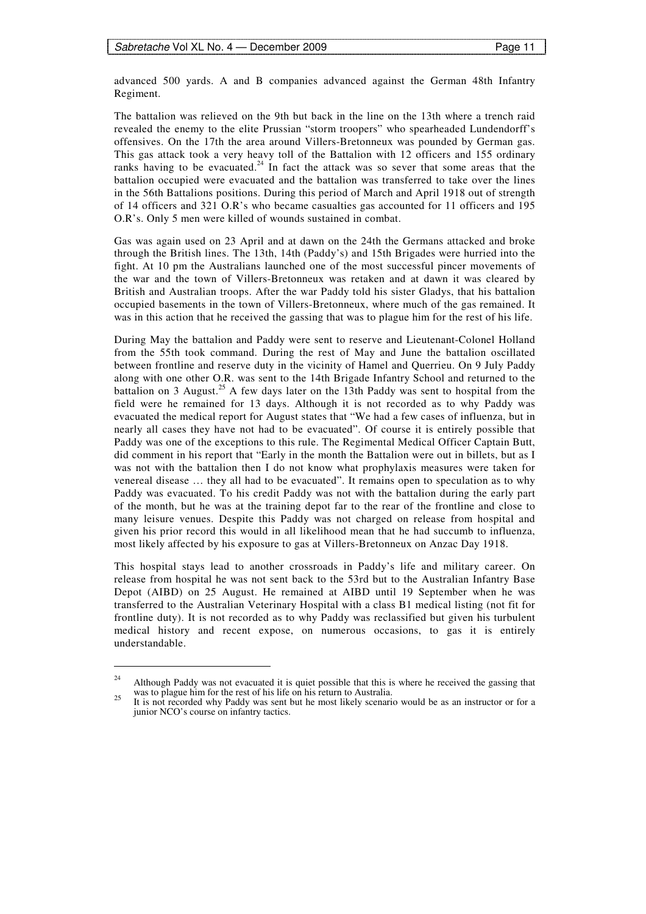advanced 500 yards. A and B companies advanced against the German 48th Infantry Regiment.

The battalion was relieved on the 9th but back in the line on the 13th where a trench raid revealed the enemy to the elite Prussian "storm troopers" who spearheaded Lundendorff's offensives. On the 17th the area around Villers-Bretonneux was pounded by German gas. This gas attack took a very heavy toll of the Battalion with 12 officers and 155 ordinary ranks having to be evacuated.<sup>24</sup> In fact the attack was so sever that some areas that the battalion occupied were evacuated and the battalion was transferred to take over the lines in the 56th Battalions positions. During this period of March and April 1918 out of strength of 14 officers and 321 O.R's who became casualties gas accounted for 11 officers and 195 O.R's. Only 5 men were killed of wounds sustained in combat.

Gas was again used on 23 April and at dawn on the 24th the Germans attacked and broke through the British lines. The 13th, 14th (Paddy's) and 15th Brigades were hurried into the fight. At 10 pm the Australians launched one of the most successful pincer movements of the war and the town of Villers-Bretonneux was retaken and at dawn it was cleared by British and Australian troops. After the war Paddy told his sister Gladys, that his battalion occupied basements in the town of Villers-Bretonneux, where much of the gas remained. It was in this action that he received the gassing that was to plague him for the rest of his life.

During May the battalion and Paddy were sent to reserve and Lieutenant-Colonel Holland from the 55th took command. During the rest of May and June the battalion oscillated between frontline and reserve duty in the vicinity of Hamel and Querrieu. On 9 July Paddy along with one other O.R. was sent to the 14th Brigade Infantry School and returned to the battalion on 3 August.<sup>25</sup> A few days later on the 13th Paddy was sent to hospital from the field were he remained for 13 days. Although it is not recorded as to why Paddy was evacuated the medical report for August states that "We had a few cases of influenza, but in nearly all cases they have not had to be evacuated". Of course it is entirely possible that Paddy was one of the exceptions to this rule. The Regimental Medical Officer Captain Butt, did comment in his report that "Early in the month the Battalion were out in billets, but as I was not with the battalion then I do not know what prophylaxis measures were taken for venereal disease … they all had to be evacuated". It remains open to speculation as to why Paddy was evacuated. To his credit Paddy was not with the battalion during the early part of the month, but he was at the training depot far to the rear of the frontline and close to many leisure venues. Despite this Paddy was not charged on release from hospital and given his prior record this would in all likelihood mean that he had succumb to influenza, most likely affected by his exposure to gas at Villers-Bretonneux on Anzac Day 1918.

This hospital stays lead to another crossroads in Paddy's life and military career. On release from hospital he was not sent back to the 53rd but to the Australian Infantry Base Depot (AIBD) on 25 August. He remained at AIBD until 19 September when he was transferred to the Australian Veterinary Hospital with a class B1 medical listing (not fit for frontline duty). It is not recorded as to why Paddy was reclassified but given his turbulent medical history and recent expose, on numerous occasions, to gas it is entirely understandable.

<sup>&</sup>lt;sup>24</sup> Although Paddy was not evacuated it is quiet possible that this is where he received the gassing that was to plague him for the rest of his life on his return to Australia.

was to plague him for the rest of his life on his return to Australia.<br>It is not recorded why Paddy was sent but he most likely scenario would be as an instructor or for a junior NCO's course on infantry tactics.